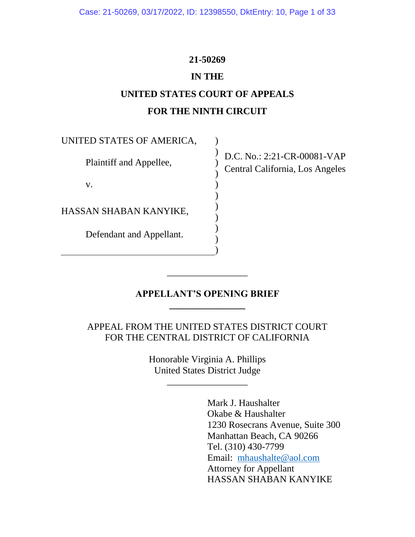## **21-50269**

## **IN THE**

# **UNITED STATES COURT OF APPEALS FOR THE NINTH CIRCUIT**

) ) ) ) ) ) ) ) ) )

UNITED STATES OF AMERICA,

Plaintiff and Appellee,

v.

HASSAN SHABAN KANYIKE,

Defendant and Appellant.

D.C. No.: 2:21-CR-00081-VAP Central California, Los Angeles

## **APPELLANT'S OPENING BRIEF \_\_\_\_\_\_\_\_\_\_\_\_\_\_\_\_**

\_\_\_\_\_\_\_\_\_\_\_\_\_\_\_\_\_

)

APPEAL FROM THE UNITED STATES DISTRICT COURT FOR THE CENTRAL DISTRICT OF CALIFORNIA

> Honorable Virginia A. Phillips United States District Judge

> > \_\_\_\_\_\_\_\_\_\_\_\_\_\_\_\_\_

Mark J. Haushalter Okabe & Haushalter 1230 Rosecrans Avenue, Suite 300 Manhattan Beach, CA 90266 Tel. (310) 430-7799 Email: mhaushalte@aol.com Attorney for Appellant HASSAN SHABAN KANYIKE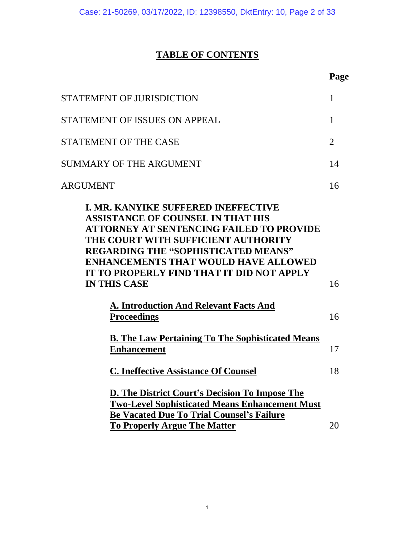# **TABLE OF CONTENTS**

|                                                                                                                                                                                                                                                                                                                                                                                                                   | Page           |
|-------------------------------------------------------------------------------------------------------------------------------------------------------------------------------------------------------------------------------------------------------------------------------------------------------------------------------------------------------------------------------------------------------------------|----------------|
| STATEMENT OF JURISDICTION                                                                                                                                                                                                                                                                                                                                                                                         | 1              |
| STATEMENT OF ISSUES ON APPEAL                                                                                                                                                                                                                                                                                                                                                                                     | 1              |
| <b>STATEMENT OF THE CASE</b>                                                                                                                                                                                                                                                                                                                                                                                      | $\overline{2}$ |
| <b>SUMMARY OF THE ARGUMENT</b>                                                                                                                                                                                                                                                                                                                                                                                    | 14             |
| ARGUMENT                                                                                                                                                                                                                                                                                                                                                                                                          | 16             |
| <b>I. MR. KANYIKE SUFFERED INEFFECTIVE</b><br><b>ASSISTANCE OF COUNSEL IN THAT HIS</b><br>ATTORNEY AT SENTENCING FAILED TO PROVIDE<br>THE COURT WITH SUFFICIENT AUTHORITY<br><b>REGARDING THE "SOPHISTICATED MEANS"</b><br><b>ENHANCEMENTS THAT WOULD HAVE ALLOWED</b><br>IT TO PROPERLY FIND THAT IT DID NOT APPLY<br><b>IN THIS CASE</b><br><b>A. Introduction And Relevant Facts And</b><br><b>Proceedings</b> | 16<br>16       |
| <b>B.</b> The Law Pertaining To The Sophisticated Means<br><b>Enhancement</b>                                                                                                                                                                                                                                                                                                                                     | 17             |
| <b>C. Ineffective Assistance Of Counsel</b>                                                                                                                                                                                                                                                                                                                                                                       | 18             |
| D. The District Court's Decision To Impose The<br><b>Two-Level Sophisticated Means Enhancement Must</b><br><b>Be Vacated Due To Trial Counsel's Failure</b><br><b>To Properly Argue The Matter</b>                                                                                                                                                                                                                | 20             |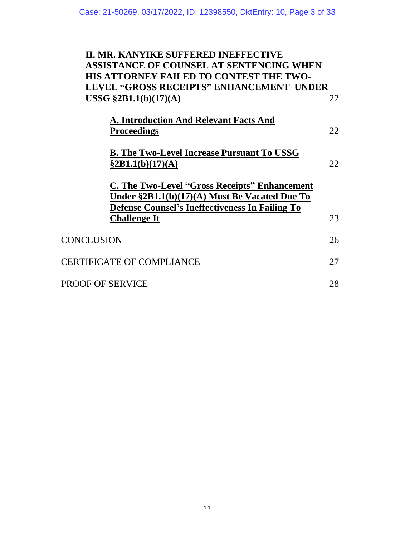# **II. MR. KANYIKE SUFFERED INEFFECTIVE ASSISTANCE OF COUNSEL AT SENTENCING WHEN HIS ATTORNEY FAILED TO CONTEST THE TWO-LEVEL "GROSS RECEIPTS" ENHANCEMENT UNDER USSG §2B1.1(b)(17)(A)** 22

| <b>CONCLUSION</b>                | 26 |  |
|----------------------------------|----|--|
| <b>CERTIFICATE OF COMPLIANCE</b> |    |  |
| <b>PROOF OF SERVICE</b>          |    |  |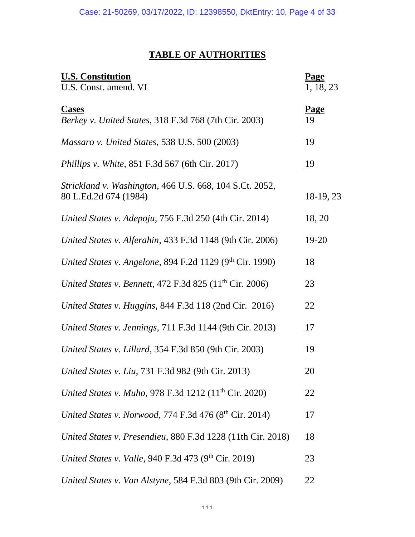# **TABLE OF AUTHORITIES**

| <b>U.S. Constitution</b><br>U.S. Const. amend. VI                                | <b>Page</b><br>1, 18, 23 |
|----------------------------------------------------------------------------------|--------------------------|
| <b>Cases</b><br>Berkey v. United States, 318 F.3d 768 (7th Cir. 2003)            | <b>Page</b><br>19        |
| Massaro v. United States, 538 U.S. 500 (2003)                                    | 19                       |
| <i>Phillips v. White, 851 F.3d 567 (6th Cir. 2017)</i>                           | 19                       |
| Strickland v. Washington, 466 U.S. 668, 104 S.Ct. 2052,<br>80 L.Ed.2d 674 (1984) | 18-19, 23                |
| United States v. Adepoju, 756 F.3d 250 (4th Cir. 2014)                           | 18, 20                   |
| United States v. Alferahin, 433 F.3d 1148 (9th Cir. 2006)                        | 19-20                    |
| United States v. Angelone, 894 F.2d 1129 (9th Cir. 1990)                         | 18                       |
| United States v. Bennett, 472 F.3d 825 $(11^{th}$ Cir. 2006)                     | 23                       |
| United States v. Huggins, 844 F.3d 118 (2nd Cir. 2016)                           | 22                       |
| United States v. Jennings, 711 F.3d 1144 (9th Cir. 2013)                         | 17                       |
| United States v. Lillard, 354 F.3d 850 (9th Cir. 2003)                           | 19                       |
| United States v. Liu, 731 F.3d 982 (9th Cir. 2013)                               | 20                       |
| United States v. Muho, 978 F.3d 1212 (11 <sup>th</sup> Cir. 2020)                | 22                       |
| United States v. Norwood, 774 F.3d 476 (8th Cir. 2014)                           | 17                       |
| United States v. Presendieu, 880 F.3d 1228 (11th Cir. 2018)                      | 18                       |
| United States v. Valle, 940 F.3d 473 (9 <sup>th</sup> Cir. 2019)                 | 23                       |
| United States v. Van Alstyne, 584 F.3d 803 (9th Cir. 2009)                       | 22                       |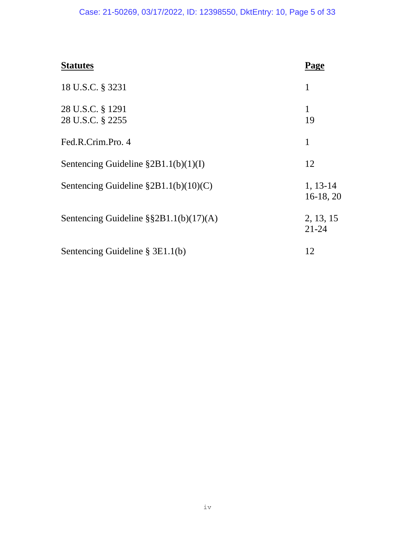# Case: 21-50269, 03/17/2022, ID: 12398550, DktEntry: 10, Page 5 of 33

| <b>Statutes</b>                                | Page                    |
|------------------------------------------------|-------------------------|
| 18 U.S.C. § 3231                               | 1                       |
| 28 U.S.C. § 1291<br>28 U.S.C. § 2255           | 1<br>19                 |
| Fed.R.Crim.Pro. 4                              | 1                       |
| Sentencing Guideline $\S 2B1.1(b)(1)(I)$       | 12                      |
| Sentencing Guideline $\S 2B1.1(b)(10)(C)$      | $1, 13-14$<br>16-18, 20 |
| Sentencing Guideline $\S$ $\S$ 2B1.1(b)(17)(A) | 2, 13, 15<br>$21 - 24$  |
| Sentencing Guideline $\S 3E1.1(b)$             | 12                      |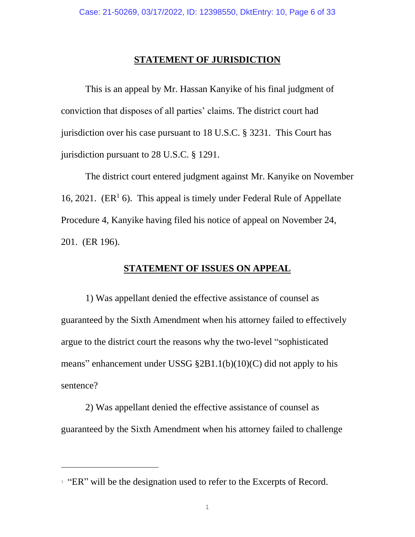#### **STATEMENT OF JURISDICTION**

This is an appeal by Mr. Hassan Kanyike of his final judgment of conviction that disposes of all parties' claims. The district court had jurisdiction over his case pursuant to 18 U.S.C. § 3231. This Court has jurisdiction pursuant to 28 U.S.C. § 1291.

The district court entered judgment against Mr. Kanyike on November 16, 2021. ( $ER<sup>1</sup>$  6). This appeal is timely under Federal Rule of Appellate Procedure 4, Kanyike having filed his notice of appeal on November 24, 201. (ER 196).

#### **STATEMENT OF ISSUES ON APPEAL**

1) Was appellant denied the effective assistance of counsel as guaranteed by the Sixth Amendment when his attorney failed to effectively argue to the district court the reasons why the two-level "sophisticated means" enhancement under USSG §2B1.1(b)(10)(C) did not apply to his sentence?

2) Was appellant denied the effective assistance of counsel as guaranteed by the Sixth Amendment when his attorney failed to challenge

<sup>&</sup>lt;sup>1</sup> "ER" will be the designation used to refer to the Excerpts of Record.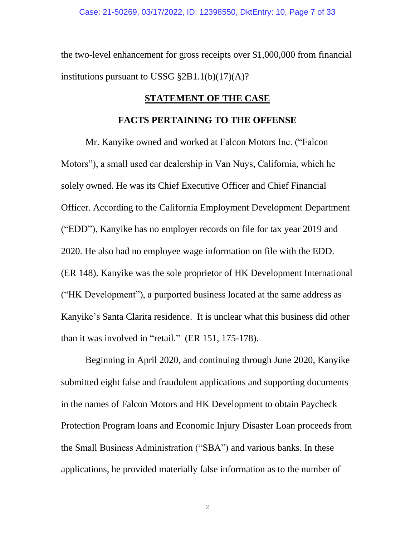the two-level enhancement for gross receipts over \$1,000,000 from financial institutions pursuant to USSG §2B1.1(b)(17)(A)?

## **STATEMENT OF THE CASE**

#### **FACTS PERTAINING TO THE OFFENSE**

Mr. Kanyike owned and worked at Falcon Motors Inc. ("Falcon Motors"), a small used car dealership in Van Nuys, California, which he solely owned. He was its Chief Executive Officer and Chief Financial Officer. According to the California Employment Development Department ("EDD"), Kanyike has no employer records on file for tax year 2019 and 2020. He also had no employee wage information on file with the EDD. (ER 148). Kanyike was the sole proprietor of HK Development International ("HK Development"), a purported business located at the same address as Kanyike's Santa Clarita residence. It is unclear what this business did other than it was involved in "retail." (ER 151, 175-178).

Beginning in April 2020, and continuing through June 2020, Kanyike submitted eight false and fraudulent applications and supporting documents in the names of Falcon Motors and HK Development to obtain Paycheck Protection Program loans and Economic Injury Disaster Loan proceeds from the Small Business Administration ("SBA") and various banks. In these applications, he provided materially false information as to the number of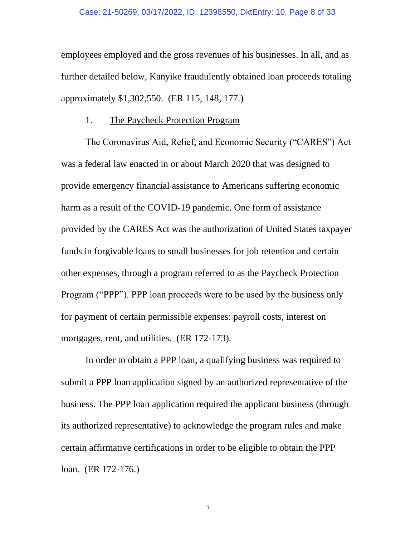employees employed and the gross revenues of his businesses. In all, and as further detailed below, Kanyike fraudulently obtained loan proceeds totaling approximately \$1,302,550. (ER 115, 148, 177.)

### 1. The Paycheck Protection Program

The Coronavirus Aid, Relief, and Economic Security ("CARES") Act was a federal law enacted in or about March 2020 that was designed to provide emergency financial assistance to Americans suffering economic harm as a result of the COVID-19 pandemic. One form of assistance provided by the CARES Act was the authorization of United States taxpayer funds in forgivable loans to small businesses for job retention and certain other expenses, through a program referred to as the Paycheck Protection Program ("PPP"). PPP loan proceeds were to be used by the business only for payment of certain permissible expenses: payroll costs, interest on mortgages, rent, and utilities. (ER 172-173).

In order to obtain a PPP loan, a qualifying business was required to submit a PPP loan application signed by an authorized representative of the business. The PPP loan application required the applicant business (through its authorized representative) to acknowledge the program rules and make certain affirmative certifications in order to be eligible to obtain the PPP loan. (ER 172-176.)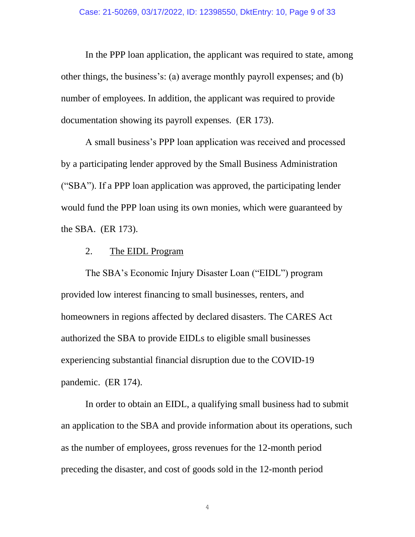In the PPP loan application, the applicant was required to state, among other things, the business's: (a) average monthly payroll expenses; and (b) number of employees. In addition, the applicant was required to provide documentation showing its payroll expenses. (ER 173).

A small business's PPP loan application was received and processed by a participating lender approved by the Small Business Administration ("SBA"). If a PPP loan application was approved, the participating lender would fund the PPP loan using its own monies, which were guaranteed by the SBA. (ER 173).

#### 2. The EIDL Program

The SBA's Economic Injury Disaster Loan ("EIDL") program provided low interest financing to small businesses, renters, and homeowners in regions affected by declared disasters. The CARES Act authorized the SBA to provide EIDLs to eligible small businesses experiencing substantial financial disruption due to the COVID-19 pandemic. (ER 174).

In order to obtain an EIDL, a qualifying small business had to submit an application to the SBA and provide information about its operations, such as the number of employees, gross revenues for the 12-month period preceding the disaster, and cost of goods sold in the 12-month period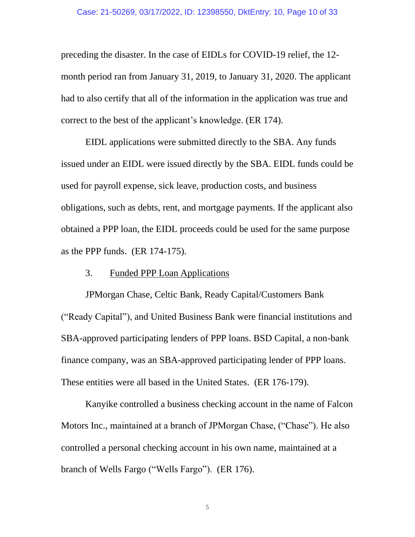preceding the disaster. In the case of EIDLs for COVID-19 relief, the 12 month period ran from January 31, 2019, to January 31, 2020. The applicant had to also certify that all of the information in the application was true and correct to the best of the applicant's knowledge. (ER 174).

EIDL applications were submitted directly to the SBA. Any funds issued under an EIDL were issued directly by the SBA. EIDL funds could be used for payroll expense, sick leave, production costs, and business obligations, such as debts, rent, and mortgage payments. If the applicant also obtained a PPP loan, the EIDL proceeds could be used for the same purpose as the PPP funds. (ER 174-175).

## 3. Funded PPP Loan Applications

JPMorgan Chase, Celtic Bank, Ready Capital/Customers Bank ("Ready Capital"), and United Business Bank were financial institutions and SBA-approved participating lenders of PPP loans. BSD Capital, a non-bank finance company, was an SBA-approved participating lender of PPP loans. These entities were all based in the United States. (ER 176-179).

Kanyike controlled a business checking account in the name of Falcon Motors Inc., maintained at a branch of JPMorgan Chase, ("Chase"). He also controlled a personal checking account in his own name, maintained at a branch of Wells Fargo ("Wells Fargo"). (ER 176).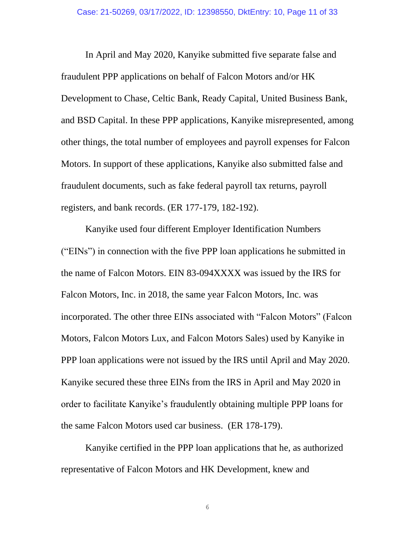In April and May 2020, Kanyike submitted five separate false and fraudulent PPP applications on behalf of Falcon Motors and/or HK Development to Chase, Celtic Bank, Ready Capital, United Business Bank, and BSD Capital. In these PPP applications, Kanyike misrepresented, among other things, the total number of employees and payroll expenses for Falcon Motors. In support of these applications, Kanyike also submitted false and fraudulent documents, such as fake federal payroll tax returns, payroll registers, and bank records. (ER 177-179, 182-192).

Kanyike used four different Employer Identification Numbers ("EINs") in connection with the five PPP loan applications he submitted in the name of Falcon Motors. EIN 83-094XXXX was issued by the IRS for Falcon Motors, Inc. in 2018, the same year Falcon Motors, Inc. was incorporated. The other three EINs associated with "Falcon Motors" (Falcon Motors, Falcon Motors Lux, and Falcon Motors Sales) used by Kanyike in PPP loan applications were not issued by the IRS until April and May 2020. Kanyike secured these three EINs from the IRS in April and May 2020 in order to facilitate Kanyike's fraudulently obtaining multiple PPP loans for the same Falcon Motors used car business. (ER 178-179).

Kanyike certified in the PPP loan applications that he, as authorized representative of Falcon Motors and HK Development, knew and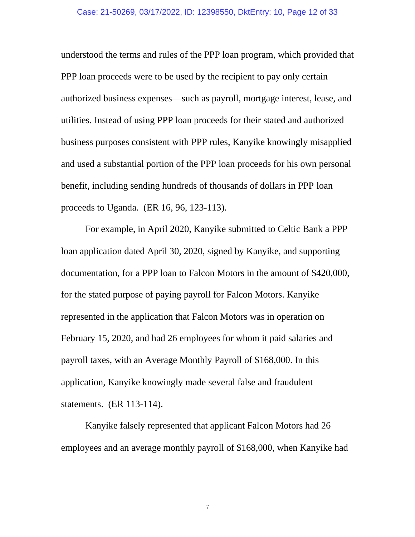understood the terms and rules of the PPP loan program, which provided that PPP loan proceeds were to be used by the recipient to pay only certain authorized business expenses—such as payroll, mortgage interest, lease, and utilities. Instead of using PPP loan proceeds for their stated and authorized business purposes consistent with PPP rules, Kanyike knowingly misapplied and used a substantial portion of the PPP loan proceeds for his own personal benefit, including sending hundreds of thousands of dollars in PPP loan proceeds to Uganda. (ER 16, 96, 123-113).

For example, in April 2020, Kanyike submitted to Celtic Bank a PPP loan application dated April 30, 2020, signed by Kanyike, and supporting documentation, for a PPP loan to Falcon Motors in the amount of \$420,000, for the stated purpose of paying payroll for Falcon Motors. Kanyike represented in the application that Falcon Motors was in operation on February 15, 2020, and had 26 employees for whom it paid salaries and payroll taxes, with an Average Monthly Payroll of \$168,000. In this application, Kanyike knowingly made several false and fraudulent statements. (ER 113-114).

Kanyike falsely represented that applicant Falcon Motors had 26 employees and an average monthly payroll of \$168,000, when Kanyike had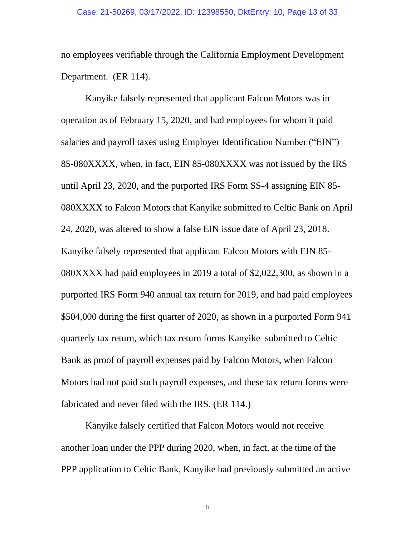no employees verifiable through the California Employment Development Department. (ER 114).

Kanyike falsely represented that applicant Falcon Motors was in operation as of February 15, 2020, and had employees for whom it paid salaries and payroll taxes using Employer Identification Number ("EIN") 85-080XXXX, when, in fact, EIN 85-080XXXX was not issued by the IRS until April 23, 2020, and the purported IRS Form SS-4 assigning EIN 85- 080XXXX to Falcon Motors that Kanyike submitted to Celtic Bank on April 24, 2020, was altered to show a false EIN issue date of April 23, 2018. Kanyike falsely represented that applicant Falcon Motors with EIN 85- 080XXXX had paid employees in 2019 a total of \$2,022,300, as shown in a purported IRS Form 940 annual tax return for 2019, and had paid employees \$504,000 during the first quarter of 2020, as shown in a purported Form 941 quarterly tax return, which tax return forms Kanyike submitted to Celtic Bank as proof of payroll expenses paid by Falcon Motors, when Falcon Motors had not paid such payroll expenses, and these tax return forms were fabricated and never filed with the IRS. (ER 114.)

Kanyike falsely certified that Falcon Motors would not receive another loan under the PPP during 2020, when, in fact, at the time of the PPP application to Celtic Bank, Kanyike had previously submitted an active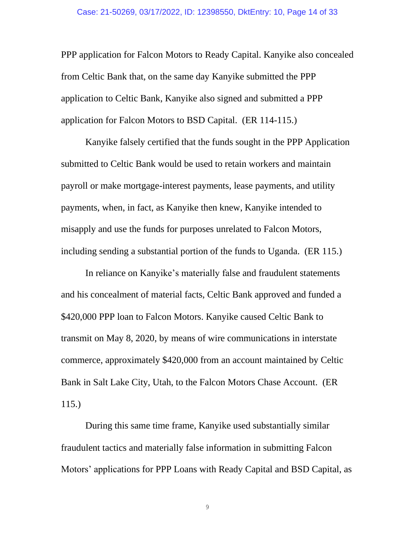PPP application for Falcon Motors to Ready Capital. Kanyike also concealed from Celtic Bank that, on the same day Kanyike submitted the PPP application to Celtic Bank, Kanyike also signed and submitted a PPP application for Falcon Motors to BSD Capital. (ER 114-115.)

Kanyike falsely certified that the funds sought in the PPP Application submitted to Celtic Bank would be used to retain workers and maintain payroll or make mortgage-interest payments, lease payments, and utility payments, when, in fact, as Kanyike then knew, Kanyike intended to misapply and use the funds for purposes unrelated to Falcon Motors, including sending a substantial portion of the funds to Uganda. (ER 115.)

In reliance on Kanyike's materially false and fraudulent statements and his concealment of material facts, Celtic Bank approved and funded a \$420,000 PPP loan to Falcon Motors. Kanyike caused Celtic Bank to transmit on May 8, 2020, by means of wire communications in interstate commerce, approximately \$420,000 from an account maintained by Celtic Bank in Salt Lake City, Utah, to the Falcon Motors Chase Account. (ER 115.)

During this same time frame, Kanyike used substantially similar fraudulent tactics and materially false information in submitting Falcon Motors' applications for PPP Loans with Ready Capital and BSD Capital, as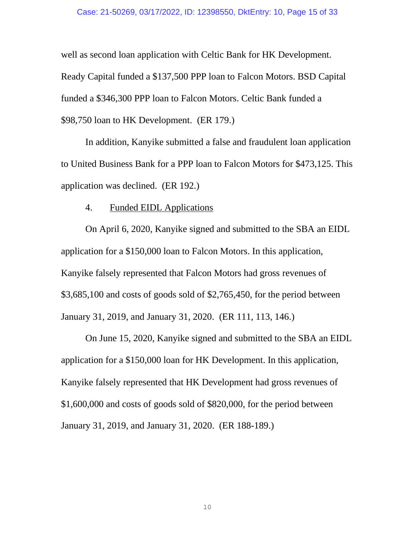well as second loan application with Celtic Bank for HK Development. Ready Capital funded a \$137,500 PPP loan to Falcon Motors. BSD Capital funded a \$346,300 PPP loan to Falcon Motors. Celtic Bank funded a \$98,750 loan to HK Development. (ER 179.)

In addition, Kanyike submitted a false and fraudulent loan application to United Business Bank for a PPP loan to Falcon Motors for \$473,125. This application was declined. (ER 192.)

#### 4. Funded EIDL Applications

On April 6, 2020, Kanyike signed and submitted to the SBA an EIDL application for a \$150,000 loan to Falcon Motors. In this application, Kanyike falsely represented that Falcon Motors had gross revenues of \$3,685,100 and costs of goods sold of \$2,765,450, for the period between January 31, 2019, and January 31, 2020. (ER 111, 113, 146.)

On June 15, 2020, Kanyike signed and submitted to the SBA an EIDL application for a \$150,000 loan for HK Development. In this application, Kanyike falsely represented that HK Development had gross revenues of \$1,600,000 and costs of goods sold of \$820,000, for the period between January 31, 2019, and January 31, 2020. (ER 188-189.)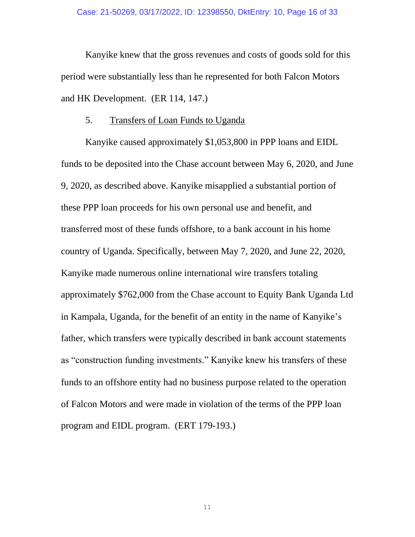Kanyike knew that the gross revenues and costs of goods sold for this period were substantially less than he represented for both Falcon Motors and HK Development. (ER 114, 147.)

### 5. Transfers of Loan Funds to Uganda

Kanyike caused approximately \$1,053,800 in PPP loans and EIDL funds to be deposited into the Chase account between May 6, 2020, and June 9, 2020, as described above. Kanyike misapplied a substantial portion of these PPP loan proceeds for his own personal use and benefit, and transferred most of these funds offshore, to a bank account in his home country of Uganda. Specifically, between May 7, 2020, and June 22, 2020, Kanyike made numerous online international wire transfers totaling approximately \$762,000 from the Chase account to Equity Bank Uganda Ltd in Kampala, Uganda, for the benefit of an entity in the name of Kanyike's father, which transfers were typically described in bank account statements as "construction funding investments." Kanyike knew his transfers of these funds to an offshore entity had no business purpose related to the operation of Falcon Motors and were made in violation of the terms of the PPP loan program and EIDL program. (ERT 179-193.)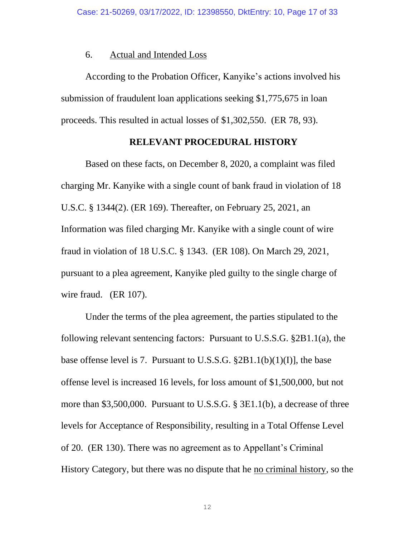#### 6. Actual and Intended Loss

According to the Probation Officer, Kanyike's actions involved his submission of fraudulent loan applications seeking \$1,775,675 in loan proceeds. This resulted in actual losses of \$1,302,550. (ER 78, 93).

#### **RELEVANT PROCEDURAL HISTORY**

Based on these facts, on December 8, 2020, a complaint was filed charging Mr. Kanyike with a single count of bank fraud in violation of 18 U.S.C. § 1344(2). (ER 169). Thereafter, on February 25, 2021, an Information was filed charging Mr. Kanyike with a single count of wire fraud in violation of 18 U.S.C. § 1343. (ER 108). On March 29, 2021, pursuant to a plea agreement, Kanyike pled guilty to the single charge of wire fraud. (ER 107).

Under the terms of the plea agreement, the parties stipulated to the following relevant sentencing factors: Pursuant to U.S.S.G. §2B1.1(a), the base offense level is 7. Pursuant to U.S.S.G.  $\S 2B1.1(b)(1)(I)$ , the base offense level is increased 16 levels, for loss amount of \$1,500,000, but not more than \$3,500,000. Pursuant to U.S.S.G. § 3E1.1(b), a decrease of three levels for Acceptance of Responsibility, resulting in a Total Offense Level of 20. (ER 130). There was no agreement as to Appellant's Criminal History Category, but there was no dispute that he no criminal history, so the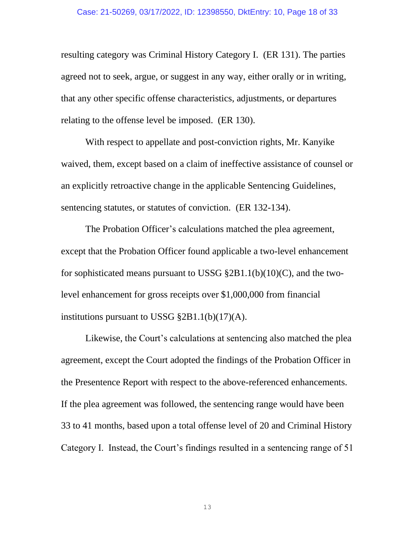resulting category was Criminal History Category I. (ER 131). The parties agreed not to seek, argue, or suggest in any way, either orally or in writing, that any other specific offense characteristics, adjustments, or departures relating to the offense level be imposed. (ER 130).

With respect to appellate and post-conviction rights, Mr. Kanyike waived, them, except based on a claim of ineffective assistance of counsel or an explicitly retroactive change in the applicable Sentencing Guidelines, sentencing statutes, or statutes of conviction. (ER 132-134).

The Probation Officer's calculations matched the plea agreement, except that the Probation Officer found applicable a two-level enhancement for sophisticated means pursuant to USSG  $\S 2B1.1(b)(10)(C)$ , and the twolevel enhancement for gross receipts over \$1,000,000 from financial institutions pursuant to USSG §2B1.1(b)(17)(A).

Likewise, the Court's calculations at sentencing also matched the plea agreement, except the Court adopted the findings of the Probation Officer in the Presentence Report with respect to the above-referenced enhancements. If the plea agreement was followed, the sentencing range would have been 33 to 41 months, based upon a total offense level of 20 and Criminal History Category I. Instead, the Court's findings resulted in a sentencing range of 51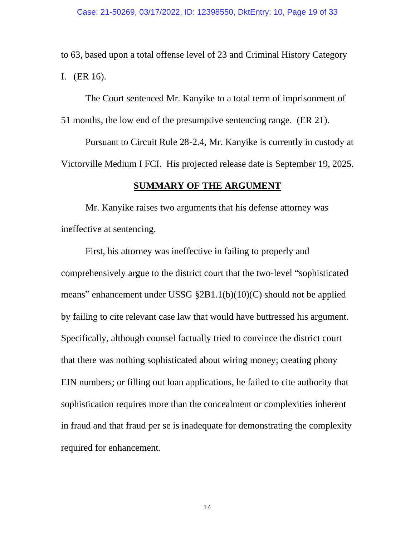to 63, based upon a total offense level of 23 and Criminal History Category I. (ER 16).

The Court sentenced Mr. Kanyike to a total term of imprisonment of 51 months, the low end of the presumptive sentencing range. (ER 21).

Pursuant to Circuit Rule 28-2.4, Mr. Kanyike is currently in custody at Victorville Medium I FCI. His projected release date is September 19, 2025.

#### **SUMMARY OF THE ARGUMENT**

Mr. Kanyike raises two arguments that his defense attorney was ineffective at sentencing.

First, his attorney was ineffective in failing to properly and comprehensively argue to the district court that the two-level "sophisticated means" enhancement under USSG §2B1.1(b)(10)(C) should not be applied by failing to cite relevant case law that would have buttressed his argument. Specifically, although counsel factually tried to convince the district court that there was nothing sophisticated about wiring money; creating phony EIN numbers; or filling out loan applications, he failed to cite authority that sophistication requires more than the concealment or complexities inherent in fraud and that fraud per se is inadequate for demonstrating the complexity required for enhancement.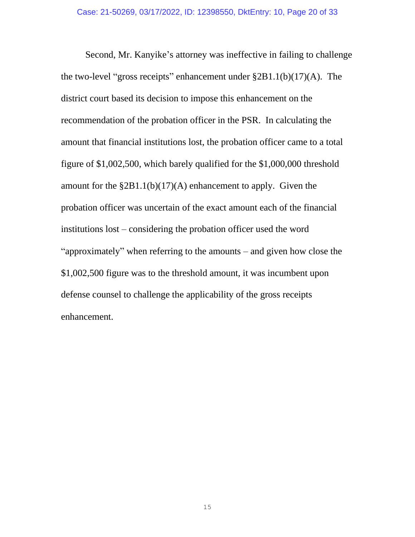Second, Mr. Kanyike's attorney was ineffective in failing to challenge the two-level "gross receipts" enhancement under §2B1.1(b)(17)(A). The district court based its decision to impose this enhancement on the recommendation of the probation officer in the PSR. In calculating the amount that financial institutions lost, the probation officer came to a total figure of \$1,002,500, which barely qualified for the \$1,000,000 threshold amount for the  $\S 2B1.1(b)(17)(A)$  enhancement to apply. Given the probation officer was uncertain of the exact amount each of the financial institutions lost – considering the probation officer used the word "approximately" when referring to the amounts – and given how close the \$1,002,500 figure was to the threshold amount, it was incumbent upon defense counsel to challenge the applicability of the gross receipts enhancement.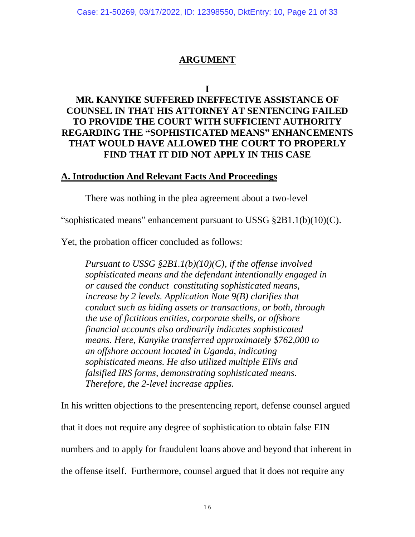Case: 21-50269, 03/17/2022, ID: 12398550, DktEntry: 10, Page 21 of 33

## **ARGUMENT**

**I**

# **MR. KANYIKE SUFFERED INEFFECTIVE ASSISTANCE OF COUNSEL IN THAT HIS ATTORNEY AT SENTENCING FAILED TO PROVIDE THE COURT WITH SUFFICIENT AUTHORITY REGARDING THE "SOPHISTICATED MEANS" ENHANCEMENTS THAT WOULD HAVE ALLOWED THE COURT TO PROPERLY FIND THAT IT DID NOT APPLY IN THIS CASE**

## **A. Introduction And Relevant Facts And Proceedings**

There was nothing in the plea agreement about a two-level

"sophisticated means" enhancement pursuant to USSG §2B1.1(b)(10)(C).

Yet, the probation officer concluded as follows:

*Pursuant to USSG §2B1.1(b)(10)(C), if the offense involved sophisticated means and the defendant intentionally engaged in or caused the conduct constituting sophisticated means, increase by 2 levels. Application Note 9(B) clarifies that conduct such as hiding assets or transactions, or both, through the use of fictitious entities, corporate shells, or offshore financial accounts also ordinarily indicates sophisticated means. Here, Kanyike transferred approximately \$762,000 to an offshore account located in Uganda, indicating sophisticated means. He also utilized multiple EINs and falsified IRS forms, demonstrating sophisticated means. Therefore, the 2-level increase applies.*

In his written objections to the presentencing report, defense counsel argued that it does not require any degree of sophistication to obtain false EIN numbers and to apply for fraudulent loans above and beyond that inherent in the offense itself. Furthermore, counsel argued that it does not require any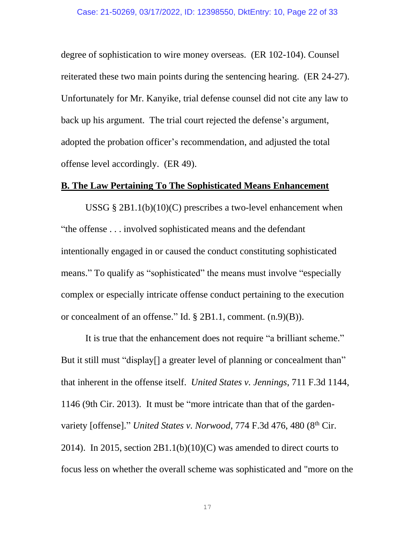degree of sophistication to wire money overseas. (ER 102-104). Counsel reiterated these two main points during the sentencing hearing. (ER 24-27). Unfortunately for Mr. Kanyike, trial defense counsel did not cite any law to back up his argument. The trial court rejected the defense's argument, adopted the probation officer's recommendation, and adjusted the total offense level accordingly. (ER 49).

### **B. The Law Pertaining To The Sophisticated Means Enhancement**

USSG  $\S 2B1.1(b)(10)(C)$  prescribes a two-level enhancement when "the offense . . . involved sophisticated means and the defendant intentionally engaged in or caused the conduct constituting sophisticated means." To qualify as "sophisticated" the means must involve "especially complex or especially intricate offense conduct pertaining to the execution or concealment of an offense." Id. § 2B1.1, comment. (n.9)(B)).

It is true that the enhancement does not require "a brilliant scheme." But it still must "display<sup>[]</sup> a greater level of planning or concealment than" that inherent in the offense itself. *United States v. Jennings*, 711 F.3d 1144, 1146 (9th Cir. 2013). It must be "more intricate than that of the gardenvariety [offense]." *United States v. Norwood*, 774 F.3d 476, 480 (8<sup>th</sup> Cir. 2014). In 2015, section  $2B1.1(b)(10)(C)$  was amended to direct courts to focus less on whether the overall scheme was sophisticated and "more on the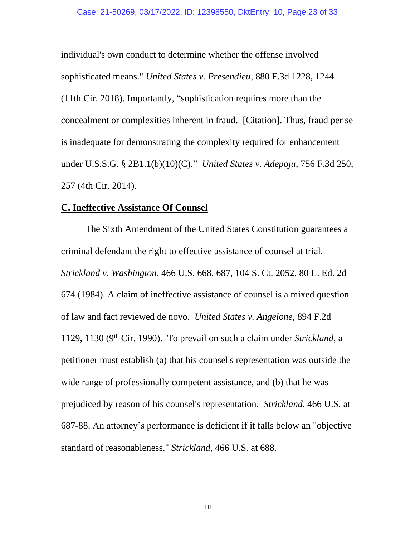individual's own conduct to determine whether the offense involved sophisticated means." *United States v. Presendieu*, 880 F.3d 1228, 1244 (11th Cir. 2018). Importantly, "sophistication requires more than the concealment or complexities inherent in fraud. [Citation]. Thus, fraud per se is inadequate for demonstrating the complexity required for enhancement under U.S.S.G. § 2B1.1(b)(10)(C)." *United States v. Adepoju*, 756 F.3d 250, 257 (4th Cir. 2014).

#### **C. Ineffective Assistance Of Counsel**

The Sixth Amendment of the United States Constitution guarantees a criminal defendant the right to effective assistance of counsel at trial. *Strickland v. Washington*, 466 U.S. 668, 687, 104 S. Ct. 2052, 80 L. Ed. 2d 674 (1984). A claim of ineffective assistance of counsel is a mixed question of law and fact reviewed de novo. *United States v. Angelone,* 894 F.2d 1129, 1130 (9th Cir. 1990). To prevail on such a claim under *Strickland*, a petitioner must establish (a) that his counsel's representation was outside the wide range of professionally competent assistance, and (b) that he was prejudiced by reason of his counsel's representation. *Strickland,* 466 U.S. at 687-88. An attorney's performance is deficient if it falls below an "objective standard of reasonableness." *Strickland,* 466 U.S. at 688.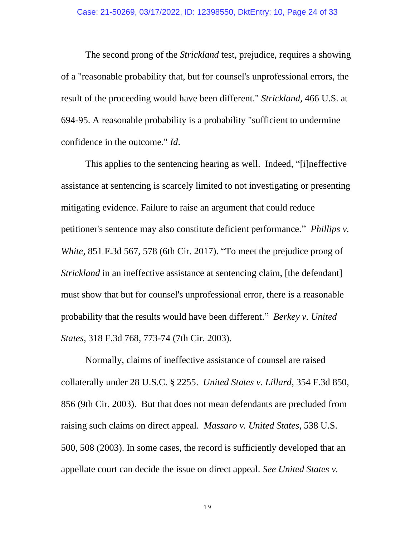The second prong of the *Strickland* test, prejudice, requires a showing of a "reasonable probability that, but for counsel's unprofessional errors, the result of the proceeding would have been different." *Strickland*, 466 U.S. at 694-95. A reasonable probability is a probability "sufficient to undermine confidence in the outcome." *Id*.

This applies to the sentencing hearing as well. Indeed, "[i]neffective assistance at sentencing is scarcely limited to not investigating or presenting mitigating evidence. Failure to raise an argument that could reduce petitioner's sentence may also constitute deficient performance." *Phillips v. White*, 851 F.3d 567, 578 (6th Cir. 2017). "To meet the prejudice prong of *Strickland* in an ineffective assistance at sentencing claim, [the defendant] must show that but for counsel's unprofessional error, there is a reasonable probability that the results would have been different." *Berkey v. United States*, 318 F.3d 768, 773-74 (7th Cir. 2003).

Normally, claims of ineffective assistance of counsel are raised collaterally under 28 U.S.C. § 2255. *United States v. Lillard*, 354 F.3d 850, 856 (9th Cir. 2003). But that does not mean defendants are precluded from raising such claims on direct appeal. *Massaro v. United States*, 538 U.S. 500, 508 (2003). In some cases, the record is sufficiently developed that an appellate court can decide the issue on direct appeal. *See United States v.*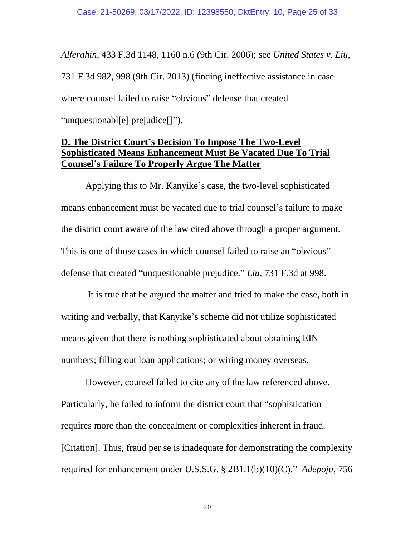*Alferahin*, 433 F.3d 1148, 1160 n.6 (9th Cir. 2006); see *United States v. Liu*, 731 F.3d 982, 998 (9th Cir. 2013) (finding ineffective assistance in case where counsel failed to raise "obvious" defense that created "unquestionabl[e] prejudice[]").

## **D. The District Court's Decision To Impose The Two-Level Sophisticated Means Enhancement Must Be Vacated Due To Trial Counsel's Failure To Properly Argue The Matter**

Applying this to Mr. Kanyike's case, the two-level sophisticated means enhancement must be vacated due to trial counsel's failure to make the district court aware of the law cited above through a proper argument. This is one of those cases in which counsel failed to raise an "obvious" defense that created "unquestionable prejudice." *Liu*, 731 F.3d at 998.

It is true that he argued the matter and tried to make the case, both in writing and verbally, that Kanyike's scheme did not utilize sophisticated means given that there is nothing sophisticated about obtaining EIN numbers; filling out loan applications; or wiring money overseas.

However, counsel failed to cite any of the law referenced above. Particularly, he failed to inform the district court that "sophistication requires more than the concealment or complexities inherent in fraud. [Citation]. Thus, fraud per se is inadequate for demonstrating the complexity required for enhancement under U.S.S.G. § 2B1.1(b)(10)(C)." *Adepoju*, 756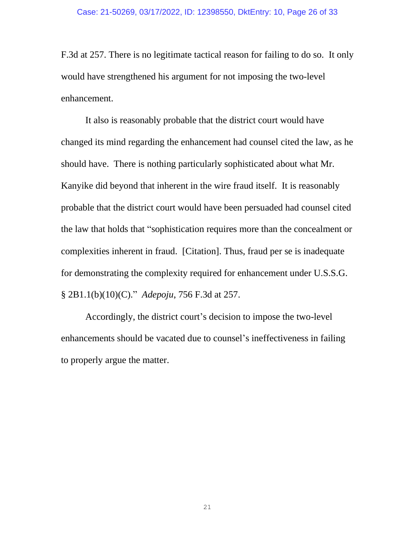F.3d at 257. There is no legitimate tactical reason for failing to do so. It only would have strengthened his argument for not imposing the two-level enhancement.

It also is reasonably probable that the district court would have changed its mind regarding the enhancement had counsel cited the law, as he should have. There is nothing particularly sophisticated about what Mr. Kanyike did beyond that inherent in the wire fraud itself. It is reasonably probable that the district court would have been persuaded had counsel cited the law that holds that "sophistication requires more than the concealment or complexities inherent in fraud. [Citation]. Thus, fraud per se is inadequate for demonstrating the complexity required for enhancement under U.S.S.G. § 2B1.1(b)(10)(C)." *Adepoju*, 756 F.3d at 257.

Accordingly, the district court's decision to impose the two-level enhancements should be vacated due to counsel's ineffectiveness in failing to properly argue the matter.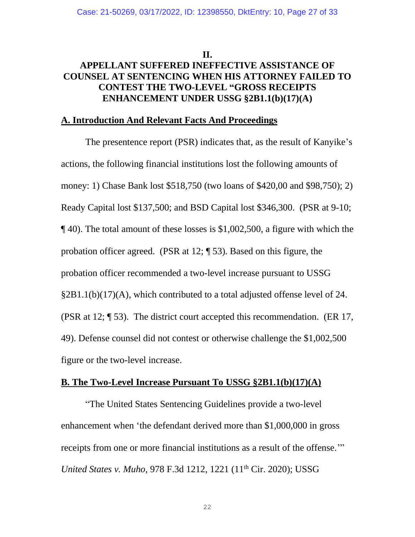#### **II.**

# **APPELLANT SUFFERED INEFFECTIVE ASSISTANCE OF COUNSEL AT SENTENCING WHEN HIS ATTORNEY FAILED TO CONTEST THE TWO-LEVEL "GROSS RECEIPTS ENHANCEMENT UNDER USSG §2B1.1(b)(17)(A)**

### **A. Introduction And Relevant Facts And Proceedings**

The presentence report (PSR) indicates that, as the result of Kanyike's actions, the following financial institutions lost the following amounts of money: 1) Chase Bank lost \$518,750 (two loans of \$420,00 and \$98,750); 2) Ready Capital lost \$137,500; and BSD Capital lost \$346,300. (PSR at 9-10; ¶ 40). The total amount of these losses is \$1,002,500, a figure with which the probation officer agreed. (PSR at 12; ¶ 53). Based on this figure, the probation officer recommended a two-level increase pursuant to USSG §2B1.1(b)(17)(A), which contributed to a total adjusted offense level of 24. (PSR at 12; ¶ 53). The district court accepted this recommendation. (ER 17, 49). Defense counsel did not contest or otherwise challenge the \$1,002,500 figure or the two-level increase.

## **B. The Two-Level Increase Pursuant To USSG §2B1.1(b)(17)(A)**

"The United States Sentencing Guidelines provide a two-level enhancement when 'the defendant derived more than \$1,000,000 in gross receipts from one or more financial institutions as a result of the offense.'" *United States v. Muho*, 978 F.3d 1212, 1221 (11th Cir. 2020); USSG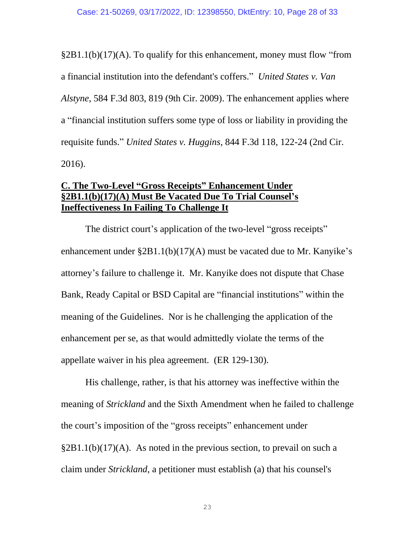§2B1.1(b)(17)(A). To qualify for this enhancement, money must flow "from a financial institution into the defendant's coffers." *United States v. Van Alstyne*, 584 F.3d 803, 819 (9th Cir. 2009). The enhancement applies where a "financial institution suffers some type of loss or liability in providing the requisite funds." *United States v. Huggins*, 844 F.3d 118, 122-24 (2nd Cir. 2016).

## **C. The Two-Level "Gross Receipts" Enhancement Under §2B1.1(b)(17)(A) Must Be Vacated Due To Trial Counsel's Ineffectiveness In Failing To Challenge It**

The district court's application of the two-level "gross receipts" enhancement under §2B1.1(b)(17)(A) must be vacated due to Mr. Kanyike's attorney's failure to challenge it. Mr. Kanyike does not dispute that Chase Bank, Ready Capital or BSD Capital are "financial institutions" within the meaning of the Guidelines. Nor is he challenging the application of the enhancement per se, as that would admittedly violate the terms of the appellate waiver in his plea agreement. (ER 129-130).

His challenge, rather, is that his attorney was ineffective within the meaning of *Strickland* and the Sixth Amendment when he failed to challenge the court's imposition of the "gross receipts" enhancement under §2B1.1(b)(17)(A). As noted in the previous section, to prevail on such a claim under *Strickland*, a petitioner must establish (a) that his counsel's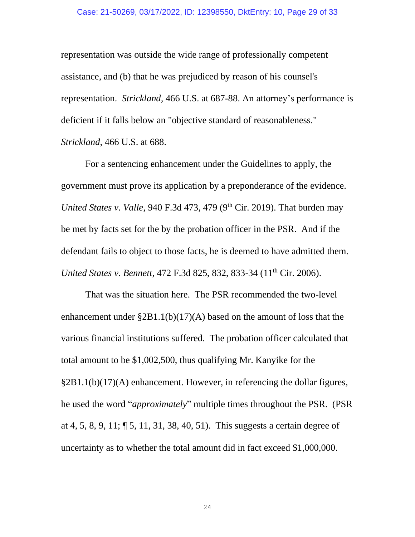#### Case: 21-50269, 03/17/2022, ID: 12398550, DktEntry: 10, Page 29 of 33

representation was outside the wide range of professionally competent assistance, and (b) that he was prejudiced by reason of his counsel's representation. *Strickland,* 466 U.S. at 687-88. An attorney's performance is deficient if it falls below an "objective standard of reasonableness." *Strickland,* 466 U.S. at 688.

For a sentencing enhancement under the Guidelines to apply, the government must prove its application by a preponderance of the evidence. *United States v. Valle, 940 F.3d 473, 479 (9<sup>th</sup> Cir. 2019). That burden may* be met by facts set for the by the probation officer in the PSR. And if the defendant fails to object to those facts, he is deemed to have admitted them. *United States v. Bennett*, 472 F.3d 825, 832, 833-34 (11<sup>th</sup> Cir. 2006).

That was the situation here. The PSR recommended the two-level enhancement under §2B1.1(b)(17)(A) based on the amount of loss that the various financial institutions suffered. The probation officer calculated that total amount to be \$1,002,500, thus qualifying Mr. Kanyike for the §2B1.1(b)(17)(A) enhancement. However, in referencing the dollar figures, he used the word "*approximately*" multiple times throughout the PSR. (PSR at 4, 5, 8, 9, 11; ¶ 5, 11, 31, 38, 40, 51). This suggests a certain degree of uncertainty as to whether the total amount did in fact exceed \$1,000,000.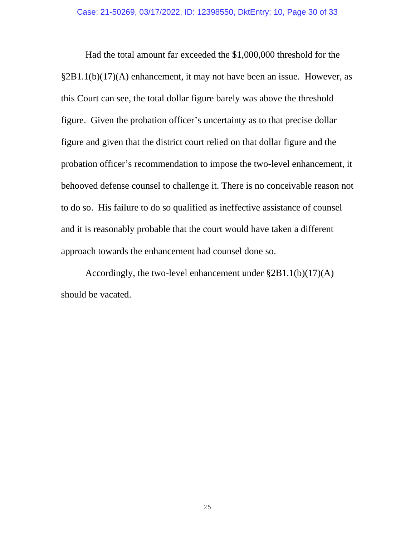Had the total amount far exceeded the \$1,000,000 threshold for the §2B1.1(b)(17)(A) enhancement, it may not have been an issue. However, as this Court can see, the total dollar figure barely was above the threshold figure. Given the probation officer's uncertainty as to that precise dollar figure and given that the district court relied on that dollar figure and the probation officer's recommendation to impose the two-level enhancement, it behooved defense counsel to challenge it. There is no conceivable reason not to do so. His failure to do so qualified as ineffective assistance of counsel and it is reasonably probable that the court would have taken a different approach towards the enhancement had counsel done so.

Accordingly, the two-level enhancement under §2B1.1(b)(17)(A) should be vacated.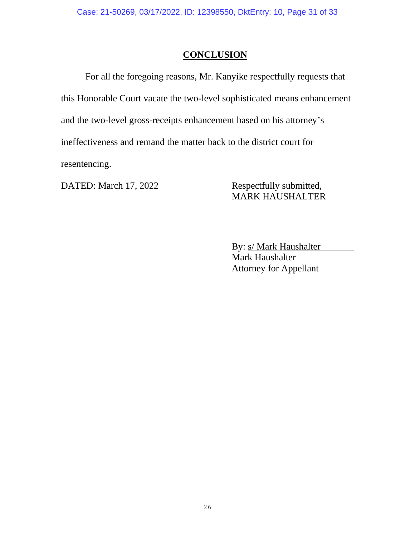# **CONCLUSION**

For all the foregoing reasons, Mr. Kanyike respectfully requests that this Honorable Court vacate the two-level sophisticated means enhancement and the two-level gross-receipts enhancement based on his attorney's ineffectiveness and remand the matter back to the district court for resentencing.

DATED: March 17, 2022 Respectfully submitted,

MARK HAUSHALTER

By: s/ Mark Haushalter Mark Haushalter Attorney for Appellant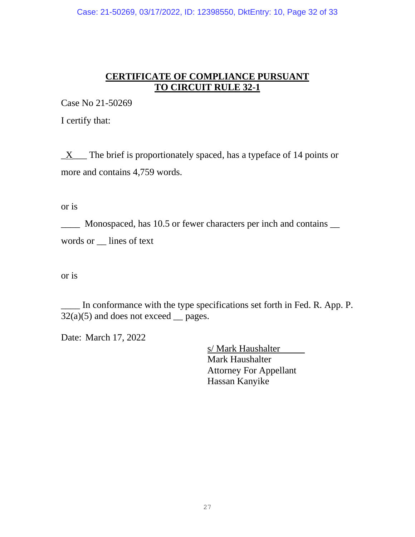Case: 21-50269, 03/17/2022, ID: 12398550, DktEntry: 10, Page 32 of 33

# **CERTIFICATE OF COMPLIANCE PURSUANT TO CIRCUIT RULE 32-1**

Case No 21-50269

I certify that:

 $\underline{X}$  The brief is proportionately spaced, has a typeface of 14 points or more and contains 4,759 words.

or is

\_\_\_\_ Monospaced, has 10.5 or fewer characters per inch and contains \_\_ words or \_\_ lines of text

or is

In conformance with the type specifications set forth in Fed. R. App. P.  $32(a)(5)$  and does not exceed pages.

Date: March 17, 2022

s/ Mark Haushalter Mark Haushalter Attorney For Appellant Hassan Kanyike